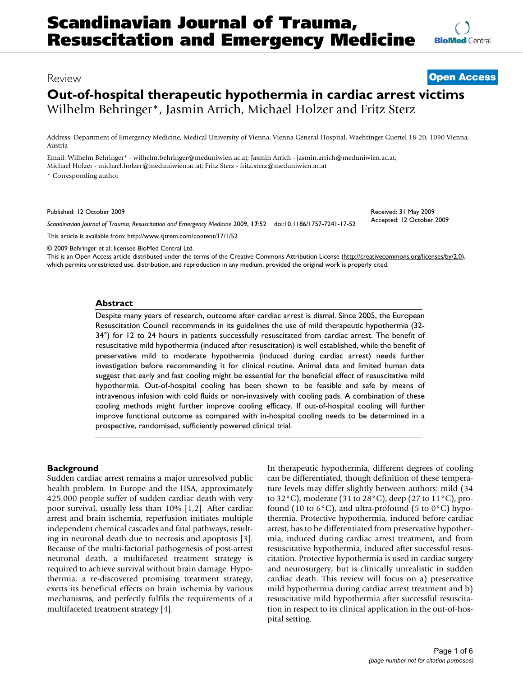# Review **[Open Access](http://www.biomedcentral.com/info/about/charter/)**

# **Out-of-hospital therapeutic hypothermia in cardiac arrest victims** Wilhelm Behringer\*, Jasmin Arrich, Michael Holzer and Fritz Sterz

Address: Department of Emergency Medicine, Medical University of Vienna, Vienna General Hospital, Waehringer Guertel 18-20, 1090 Vienna, Austria

Email: Wilhelm Behringer\* - wilhelm.behringer@meduniwien.ac.at; Jasmin Arrich - jasmin.arrich@meduniwien.ac.at; Michael Holzer - michael.holzer@meduniwien.ac.at; Fritz Sterz - fritz.sterz@meduniwien.ac.at

\* Corresponding author

Published: 12 October 2009

*Scandinavian Journal of Trauma, Resuscitation and Emergency Medicine* 2009, **17**:52 doi:10.1186/1757-7241-17-52

Received: 31 May 2009 Accepted: 12 October 2009

© 2009 Behringer et al; licensee BioMed Central Ltd. This is an Open Access article distributed under the terms of the Creative Commons Attribution License [\(http://creativecommons.org/licenses/by/2.0\)](http://creativecommons.org/licenses/by/2.0), which permits unrestricted use, distribution, and reproduction in any medium, provided the original work is properly cited.

#### **Abstract**

[This article is available from: http://www.sjtrem.com/content/17/1/52](http://www.sjtrem.com/content/17/1/52)

Despite many years of research, outcome after cardiac arrest is dismal. Since 2005, the European Resuscitation Council recommends in its guidelines the use of mild therapeutic hypothermia (32- 34°) for 12 to 24 hours in patients successfully resuscitated from cardiac arrest. The benefit of resuscitative mild hypothermia (induced after resuscitation) is well established, while the benefit of preservative mild to moderate hypothermia (induced during cardiac arrest) needs further investigation before recommending it for clinical routine. Animal data and limited human data suggest that early and fast cooling might be essential for the beneficial effect of resuscitative mild hypothermia. Out-of-hospital cooling has been shown to be feasible and safe by means of intravenous infusion with cold fluids or non-invasively with cooling pads. A combination of these cooling methods might further improve cooling efficacy. If out-of-hospital cooling will further improve functional outcome as compared with in-hospital cooling needs to be determined in a prospective, randomised, sufficiently powered clinical trial.

# **Background**

Sudden cardiac arrest remains a major unresolved public health problem. In Europe and the USA, approximately 425.000 people suffer of sudden cardiac death with very poor survival, usually less than 10% [1,2]. After cardiac arrest and brain ischemia, reperfusion initiates multiple independent chemical cascades and fatal pathways, resulting in neuronal death due to necrosis and apoptosis [3]. Because of the multi-factorial pathogenesis of post-arrest neuronal death, a multifaceted treatment strategy is required to achieve survival without brain damage. Hypothermia, a re-discovered promising treatment strategy, exerts its beneficial effects on brain ischemia by various mechanisms, and perfectly fulfils the requirements of a multifaceted treatment strategy [4].

In therapeutic hypothermia, different degrees of cooling can be differentiated, though definition of these temperature levels may differ slightly between authors: mild (34 to 32°C), moderate (31 to 28°C), deep (27 to 11°C), profound (10 to  $6^{\circ}$ C), and ultra-profound (5 to  $0^{\circ}$ C) hypothermia. Protective hypothermia, induced before cardiac arrest, has to be differentiated from preservative hypothermia, induced during cardiac arrest treatment, and from resuscitative hypothermia, induced after successful resuscitation. Protective hypothermia is used in cardiac surgery and neurosurgery, but is clinically unrealistic in sudden cardiac death. This review will focus on a) preservative mild hypothermia during cardiac arrest treatment and b) resuscitative mild hypothermia after successful resuscitation in respect to its clinical application in the out-of-hospital setting.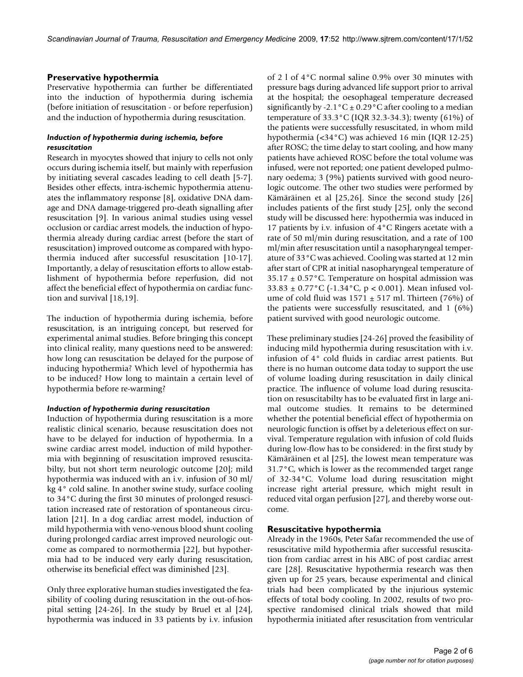#### **Preservative hypothermia**

Preservative hypothermia can further be differentiated into the induction of hypothermia during ischemia (before initiation of resuscitation - or before reperfusion) and the induction of hypothermia during resuscitation.

#### *Induction of hypothermia during ischemia, before resuscitation*

Research in myocytes showed that injury to cells not only occurs during ischemia itself, but mainly with reperfusion by initiating several cascades leading to cell death [5-7]. Besides other effects, intra-ischemic hypothermia attenuates the inflammatory response [8], oxidative DNA damage and DNA damage-triggered pro-death signalling after resuscitation [9]. In various animal studies using vessel occlusion or cardiac arrest models, the induction of hypothermia already during cardiac arrest (before the start of resuscitation) improved outcome as compared with hypothermia induced after successful resuscitation [10-17]. Importantly, a delay of resuscitation efforts to allow establishment of hypothermia before reperfusion, did not affect the beneficial effect of hypothermia on cardiac function and survival [18,19].

The induction of hypothermia during ischemia, before resuscitation, is an intriguing concept, but reserved for experimental animal studies. Before bringing this concept into clinical reality, many questions need to be answered: how long can resuscitation be delayed for the purpose of inducing hypothermia? Which level of hypothermia has to be induced? How long to maintain a certain level of hypothermia before re-warming?

#### *Induction of hypothermia during resuscitation*

Induction of hypothermia during resuscitation is a more realistic clinical scenario, because resuscitation does not have to be delayed for induction of hypothermia. In a swine cardiac arrest model, induction of mild hypothermia with beginning of resuscitation improved resuscitabilty, but not short term neurologic outcome [20]; mild hypothermia was induced with an i.v. infusion of 30 ml/ kg 4° cold saline. In another swine study, surface cooling to 34°C during the first 30 minutes of prolonged resuscitation increased rate of restoration of spontaneous circulation [21]. In a dog cardiac arrest model, induction of mild hypothermia with veno-venous blood shunt cooling during prolonged cardiac arrest improved neurologic outcome as compared to normothermia [22], but hypothermia had to be induced very early during resuscitation, otherwise its beneficial effect was diminished [23].

Only three explorative human studies investigated the feasibility of cooling during resuscitation in the out-of-hospital setting [24-26]. In the study by Bruel et al [24], hypothermia was induced in 33 patients by i.v. infusion of 2 l of 4°C normal saline 0.9% over 30 minutes with pressure bags during advanced life support prior to arrival at the hospital; the oesophageal temperature decreased significantly by -2.1 °C  $\pm$  0.29 °C after cooling to a median temperature of 33.3°C (IQR 32.3-34.3); twenty (61%) of the patients were successfully resuscitated, in whom mild hypothermia (<34°C) was achieved 16 min (IQR 12-25) after ROSC; the time delay to start cooling, and how many patients have achieved ROSC before the total volume was infused, were not reported; one patient developed pulmonary oedema; 3 (9%) patients survived with good neurologic outcome. The other two studies were performed by Kämäräinen et al [25,26]. Since the second study [26] includes patients of the first study [25], only the second study will be discussed here: hypothermia was induced in 17 patients by i.v. infusion of 4°C Ringers acetate with a rate of 50 ml/min during resuscitation, and a rate of 100 ml/min after resuscitation until a nasopharyngeal temperature of 33°C was achieved. Cooling was started at 12 min after start of CPR at initial nasopharyngeal temperature of 35.17 ± 0.57°C. Temperature on hospital admission was 33.83  $\pm$  0.77°C (-1.34°C, p < 0.001). Mean infused volume of cold fluid was  $1571 \pm 517$  ml. Thirteen (76%) of the patients were successfully resuscitated, and 1 (6%) patient survived with good neurologic outcome.

These preliminary studies [24-26] proved the feasibility of inducing mild hypothermia during resuscitation with i.v. infusion of 4° cold fluids in cardiac arrest patients. But there is no human outcome data today to support the use of volume loading during resuscitation in daily clinical practice. The influence of volume load during resuscitation on resuscitabilty has to be evaluated first in large animal outcome studies. It remains to be determined whether the potential beneficial effect of hypothermia on neurologic function is offset by a deleterious effect on survival. Temperature regulation with infusion of cold fluids during low-flow has to be considered: in the first study by Kämäräinen et al [25], the lowest mean temperature was 31.7°C, which is lower as the recommended target range of 32-34°C. Volume load during resuscitation might increase right arterial pressure, which might result in reduced vital organ perfusion [27], and thereby worse outcome.

# **Resuscitative hypothermia**

Already in the 1960s, Peter Safar recommended the use of resuscitative mild hypothermia after successful resuscitation from cardiac arrest in his ABC of post cardiac arrest care [28]. Resuscitative hypothermia research was then given up for 25 years, because experimental and clinical trials had been complicated by the injurious systemic effects of total body cooling. In 2002, results of two prospective randomised clinical trials showed that mild hypothermia initiated after resuscitation from ventricular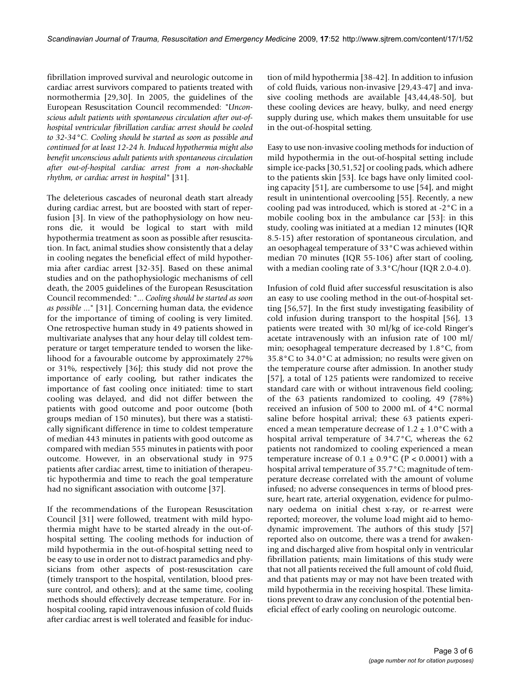fibrillation improved survival and neurologic outcome in cardiac arrest survivors compared to patients treated with normothermia [29,30]. In 2005, the guidelines of the European Resuscitation Council recommended: *"Unconscious adult patients with spontaneous circulation after out-ofhospital ventricular fibrillation cardiac arrest should be cooled to 32-34°C. Cooling should be started as soon as possible and continued for at least 12-24 h. Induced hypothermia might also benefit unconscious adult patients with spontaneous circulation after out-of-hospital cardiac arrest from a non-shockable rhythm, or cardiac arrest in hospital"* [31].

The deleterious cascades of neuronal death start already during cardiac arrest, but are boosted with start of reperfusion [3]. In view of the pathophysiology on how neurons die, it would be logical to start with mild hypothermia treatment as soon as possible after resuscitation. In fact, animal studies show consistently that a delay in cooling negates the beneficial effect of mild hypothermia after cardiac arrest [32-35]. Based on these animal studies and on the pathophysiologic mechanisms of cell death, the 2005 guidelines of the European Resuscitation Council recommended: "... *Cooling should be started as soon as possible* ..." [31]. Concerning human data, the evidence for the importance of timing of cooling is very limited. One retrospective human study in 49 patients showed in multivariate analyses that any hour delay till coldest temperature or target temperature tended to worsen the likelihood for a favourable outcome by approximately 27% or 31%, respectively [36]; this study did not prove the importance of early cooling, but rather indicates the importance of fast cooling once initiated: time to start cooling was delayed, and did not differ between the patients with good outcome and poor outcome (both groups median of 150 minutes), but there was a statistically significant difference in time to coldest temperature of median 443 minutes in patients with good outcome as compared with median 555 minutes in patients with poor outcome. However, in an observational study in 975 patients after cardiac arrest, time to initiation of therapeutic hypothermia and time to reach the goal temperature had no significant association with outcome [37].

If the recommendations of the European Resuscitation Council [31] were followed, treatment with mild hypothermia might have to be started already in the out-ofhospital setting. The cooling methods for induction of mild hypothermia in the out-of-hospital setting need to be easy to use in order not to distract paramedics and physicians from other aspects of post-resuscitation care (timely transport to the hospital, ventilation, blood pressure control, and others); and at the same time, cooling methods should effectively decrease temperature. For inhospital cooling, rapid intravenous infusion of cold fluids after cardiac arrest is well tolerated and feasible for induction of mild hypothermia [38-42]. In addition to infusion of cold fluids, various non-invasive [29,43-47] and invasive cooling methods are available [43,44,48-50], but these cooling devices are heavy, bulky, and need energy supply during use, which makes them unsuitable for use in the out-of-hospital setting.

Easy to use non-invasive cooling methods for induction of mild hypothermia in the out-of-hospital setting include simple ice-packs [30,51,52] or cooling pads, which adhere to the patients skin [53]. Ice bags have only limited cooling capacity [51], are cumbersome to use [54], and might result in unintentional overcooling [55]. Recently, a new cooling pad was introduced, which is stored at -2°C in a mobile cooling box in the ambulance car [53]: in this study, cooling was initiated at a median 12 minutes (IQR 8.5-15) after restoration of spontaneous circulation, and an oesophageal temperature of 33°C was achieved within median 70 minutes (IQR 55-106) after start of cooling, with a median cooling rate of 3.3°C/hour (IQR 2.0-4.0).

Infusion of cold fluid after successful resuscitation is also an easy to use cooling method in the out-of-hospital setting [56,57]. In the first study investigating feasibility of cold infusion during transport to the hospital [56], 13 patients were treated with 30 ml/kg of ice-cold Ringer's acetate intravenously with an infusion rate of 100 ml/ min; oesophageal temperature decreased by 1.8°C, from 35.8°C to 34.0°C at admission; no results were given on the temperature course after admission. In another study [57], a total of 125 patients were randomized to receive standard care with or without intravenous field cooling; of the 63 patients randomized to cooling, 49 (78%) received an infusion of 500 to 2000 mL of 4°C normal saline before hospital arrival; these 63 patients experienced a mean temperature decrease of  $1.2 \pm 1.0$ °C with a hospital arrival temperature of 34.7°C, whereas the 62 patients not randomized to cooling experienced a mean temperature increase of  $0.1 \pm 0.9$ °C (P < 0.0001) with a hospital arrival temperature of 35.7°C; magnitude of temperature decrease correlated with the amount of volume infused; no adverse consequences in terms of blood pressure, heart rate, arterial oxygenation, evidence for pulmonary oedema on initial chest x-ray, or re-arrest were reported; moreover, the volume load might aid to hemodynamic improvement. The authors of this study [57] reported also on outcome, there was a trend for awakening and discharged alive from hospital only in ventricular fibrillation patients; main limitations of this study were that not all patients received the full amount of cold fluid, and that patients may or may not have been treated with mild hypothermia in the receiving hospital. These limitations prevent to draw any conclusion of the potential beneficial effect of early cooling on neurologic outcome.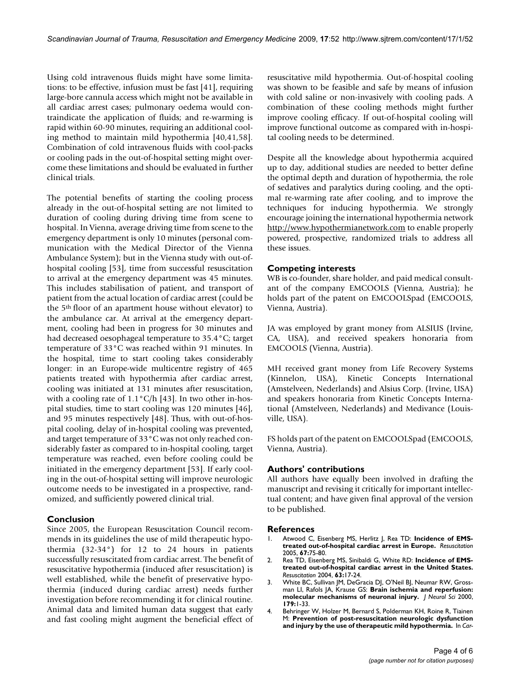Using cold intravenous fluids might have some limitations: to be effective, infusion must be fast [41], requiring large-bore cannula access which might not be available in all cardiac arrest cases; pulmonary oedema would contraindicate the application of fluids; and re-warming is rapid within 60-90 minutes, requiring an additional cooling method to maintain mild hypothermia [40,41,58]. Combination of cold intravenous fluids with cool-packs or cooling pads in the out-of-hospital setting might overcome these limitations and should be evaluated in further clinical trials.

The potential benefits of starting the cooling process already in the out-of-hospital setting are not limited to duration of cooling during driving time from scene to hospital. In Vienna, average driving time from scene to the emergency department is only 10 minutes (personal communication with the Medical Director of the Vienna Ambulance System); but in the Vienna study with out-ofhospital cooling [53], time from successful resuscitation to arrival at the emergency department was 45 minutes. This includes stabilisation of patient, and transport of patient from the actual location of cardiac arrest (could be the 5th floor of an apartment house without elevator) to the ambulance car. At arrival at the emergency department, cooling had been in progress for 30 minutes and had decreased oesophageal temperature to 35.4°C; target temperature of 33°C was reached within 91 minutes. In the hospital, time to start cooling takes considerably longer: in an Europe-wide multicentre registry of 465 patients treated with hypothermia after cardiac arrest, cooling was initiated at 131 minutes after resuscitation, with a cooling rate of  $1.1\degree$ C/h [43]. In two other in-hospital studies, time to start cooling was 120 minutes [46], and 95 minutes respectively [48]. Thus, with out-of-hospital cooling, delay of in-hospital cooling was prevented, and target temperature of 33°C was not only reached considerably faster as compared to in-hospital cooling, target temperature was reached, even before cooling could be initiated in the emergency department [53]. If early cooling in the out-of-hospital setting will improve neurologic outcome needs to be investigated in a prospective, randomized, and sufficiently powered clinical trial.

# **Conclusion**

Since 2005, the European Resuscitation Council recommends in its guidelines the use of mild therapeutic hypothermia (32-34°) for 12 to 24 hours in patients successfully resuscitated from cardiac arrest. The benefit of resuscitative hypothermia (induced after resuscitation) is well established, while the benefit of preservative hypothermia (induced during cardiac arrest) needs further investigation before recommending it for clinical routine. Animal data and limited human data suggest that early and fast cooling might augment the beneficial effect of resuscitative mild hypothermia. Out-of-hospital cooling was shown to be feasible and safe by means of infusion with cold saline or non-invasively with cooling pads. A combination of these cooling methods might further improve cooling efficacy. If out-of-hospital cooling will improve functional outcome as compared with in-hospital cooling needs to be determined.

Despite all the knowledge about hypothermia acquired up to day, additional studies are needed to better define the optimal depth and duration of hypothermia, the role of sedatives and paralytics during cooling, and the optimal re-warming rate after cooling, and to improve the techniques for inducing hypothermia. We strongly encourage joining the international hypothermia network <http://www.hypothermianetwork.com>to enable properly powered, prospective, randomized trials to address all these issues.

#### **Competing interests**

WB is co-founder, share holder, and paid medical consultant of the company EMCOOLS (Vienna, Austria); he holds part of the patent on EMCOOLSpad (EMCOOLS, Vienna, Austria).

JA was employed by grant money from ALSIUS (Irvine, CA, USA), and received speakers honoraria from EMCOOLS (Vienna, Austria).

MH received grant money from Life Recovery Systems (Kinnelon, USA), Kinetic Concepts International (Amstelveen, Nederlands) and Alsius Corp. (Irvine, USA) and speakers honoraria from Kinetic Concepts International (Amstelveen, Nederlands) and Medivance (Louisville, USA).

FS holds part of the patent on EMCOOLSpad (EMCOOLS, Vienna, Austria).

# **Authors' contributions**

All authors have equally been involved in drafting the manuscript and revising it critically for important intellectual content; and have given final approval of the version to be published.

#### **References**

- Atwood C, Eisenberg MS, Herlitz J, Rea TD: **[Incidence of EMS](http://www.ncbi.nlm.nih.gov/entrez/query.fcgi?cmd=Retrieve&db=PubMed&dopt=Abstract&list_uids=16199289)[treated out-of-hospital cardiac arrest in Europe.](http://www.ncbi.nlm.nih.gov/entrez/query.fcgi?cmd=Retrieve&db=PubMed&dopt=Abstract&list_uids=16199289)** *Resuscitation* 2005, **67:**75-80.
- 2. Rea TD, Eisenberg MS, Sinibaldi G, White RD: **[Incidence of EMS](http://www.ncbi.nlm.nih.gov/entrez/query.fcgi?cmd=Retrieve&db=PubMed&dopt=Abstract&list_uids=15451582)[treated out-of-hospital cardiac arrest in the United States.](http://www.ncbi.nlm.nih.gov/entrez/query.fcgi?cmd=Retrieve&db=PubMed&dopt=Abstract&list_uids=15451582)** *Resuscitation* 2004, **63:**17-24.
- 3. White BC, Sullivan JM, DeGracia DJ, O'Neil BJ, Neumar RW, Grossman LI, Rafols JA, Krause GS: **[Brain ischemia and reperfusion:](http://www.ncbi.nlm.nih.gov/entrez/query.fcgi?cmd=Retrieve&db=PubMed&dopt=Abstract&list_uids=11054482) [molecular mechanisms of neuronal injury.](http://www.ncbi.nlm.nih.gov/entrez/query.fcgi?cmd=Retrieve&db=PubMed&dopt=Abstract&list_uids=11054482)** *J Neurol Sci* 2000, **179:**1-33.
- 4. Behringer W, Holzer M, Bernard S, Polderman KH, Roine R, Tiainen M: **Prevention of post-resuscitation neurologic dysfunction and injury by the use of therapeutic mild hypothermia.** In *Car-*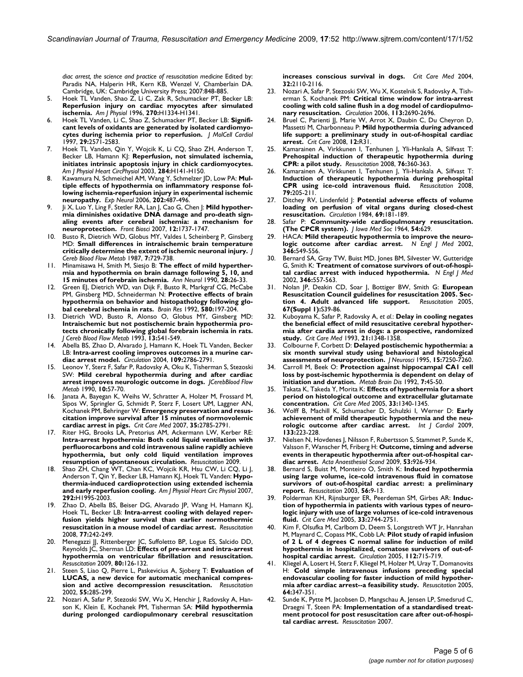*diac arrest, the science and practice of resuscitation medicine* Edited by: Paradis NA, Halperin HR, Kern KB, Wenzel V, Chamberlain DA. Cambridge, UK: Cambridge University Press; 2007:848-885.

- 5. Hoek TL Vanden, Shao Z, Li C, Zak R, Schumacker PT, Becker LB: **[Reperfusion injury on cardiac myocytes after simulated](http://www.ncbi.nlm.nih.gov/entrez/query.fcgi?cmd=Retrieve&db=PubMed&dopt=Abstract&list_uids=8967373) [ischemia.](http://www.ncbi.nlm.nih.gov/entrez/query.fcgi?cmd=Retrieve&db=PubMed&dopt=Abstract&list_uids=8967373)** *Am J Physiol* 1996, **270:**H1334-H1341.
- 6. Hoek TL Vanden, Li C, Shao Z, Schumacker PT, Becker LB: **Significant levels of oxidants are generated by isolated cardiomyocytes during ischemia prior to reperfusion.** *J MolCell Cardiol* 1997, **29:**2571-2583.
- 7. Hoek TL Vanden, Qin Y, Wojcik K, Li CQ, Shao ZH, Anderson T, Becker LB, Hamann KJ: **Reperfusion, not simulated ischemia, initiates intrinsic apoptosis injury in chick cardiomyocytes.** *Am J Physiol Heart CircPhysiol* 2003, **284:**H141-H150.
- 8. Kawamura N, Schmeichel AM, Wang Y, Schmelzer JD, Low PA: **[Mul](http://www.ncbi.nlm.nih.gov/entrez/query.fcgi?cmd=Retrieve&db=PubMed&dopt=Abstract&list_uids=16934252)[tiple effects of hypothermia on inflammatory response fol](http://www.ncbi.nlm.nih.gov/entrez/query.fcgi?cmd=Retrieve&db=PubMed&dopt=Abstract&list_uids=16934252)lowing ischemia-reperfusion injury in experimental ischemic [neuropathy.](http://www.ncbi.nlm.nih.gov/entrez/query.fcgi?cmd=Retrieve&db=PubMed&dopt=Abstract&list_uids=16934252)** *Exp Neurol* 2006, **202:**487-496.
- 9. Ji X, Luo Y, Ling F, Stetler RA, Lan J, Cao G, Chen J: **[Mild hypother](http://www.ncbi.nlm.nih.gov/entrez/query.fcgi?cmd=Retrieve&db=PubMed&dopt=Abstract&list_uids=17127418)[mia diminishes oxidative DNA damage and pro-death sign](http://www.ncbi.nlm.nih.gov/entrez/query.fcgi?cmd=Retrieve&db=PubMed&dopt=Abstract&list_uids=17127418)aling events after cerebral ischemia: a mechanism for [neuroprotection.](http://www.ncbi.nlm.nih.gov/entrez/query.fcgi?cmd=Retrieve&db=PubMed&dopt=Abstract&list_uids=17127418)** *Front Biosci* 2007, **12:**1737-1747.
- 10. Busto R, Dietrich WD, Globus MY, Valdes I, Scheinberg P, Ginsberg MD: **[Small differences in intraischemic brain temperature](http://www.ncbi.nlm.nih.gov/entrez/query.fcgi?cmd=Retrieve&db=PubMed&dopt=Abstract&list_uids=3693428) [critically determine the extent of ischemic neuronal injury.](http://www.ncbi.nlm.nih.gov/entrez/query.fcgi?cmd=Retrieve&db=PubMed&dopt=Abstract&list_uids=3693428)** *J Cereb Blood Flow Metab* 1987, **7:**729-738.
- 11. Minamisawa H, Smith M, Siesjo B: **[The effect of mild hyperther](http://www.ncbi.nlm.nih.gov/entrez/query.fcgi?cmd=Retrieve&db=PubMed&dopt=Abstract&list_uids=2375631)[mia and hypothermia on brain damage following 5, 10, and](http://www.ncbi.nlm.nih.gov/entrez/query.fcgi?cmd=Retrieve&db=PubMed&dopt=Abstract&list_uids=2375631) [15 minutes of forebrain ischemia.](http://www.ncbi.nlm.nih.gov/entrez/query.fcgi?cmd=Retrieve&db=PubMed&dopt=Abstract&list_uids=2375631)** *Ann Neurol* 1990, **28:**26-33.
- 12. Green EJ, Dietrich WD, van Dijk F, Busto R, Markgraf CG, McCabe PM, Ginsberg MD, Schneiderman N: **[Protective effects of brain](http://www.ncbi.nlm.nih.gov/entrez/query.fcgi?cmd=Retrieve&db=PubMed&dopt=Abstract&list_uids=1504800) [hypothermia on behavior and histopathology following glo](http://www.ncbi.nlm.nih.gov/entrez/query.fcgi?cmd=Retrieve&db=PubMed&dopt=Abstract&list_uids=1504800)[bal cerebral ischemia in rats.](http://www.ncbi.nlm.nih.gov/entrez/query.fcgi?cmd=Retrieve&db=PubMed&dopt=Abstract&list_uids=1504800)** *Brain Res* 1992, **580:**197-204.
- 13. Dietrich WD, Busto R, Alonso O, Globus MY, Ginsberg MD: **[Intraischemic but not postischemic brain hypothermia pro](http://www.ncbi.nlm.nih.gov/entrez/query.fcgi?cmd=Retrieve&db=PubMed&dopt=Abstract&list_uids=8314910)tects chronically following global forebrain ischemia in rats.** *J Cereb Blood Flow Metab* 1993, **13:**541-549.
- 14. Abella BS, Zhao D, Alvarado J, Hamann K, Hoek TL Vanden, Becker LB: **[Intra-arrest cooling improves outcomes in a murine car](http://www.ncbi.nlm.nih.gov/entrez/query.fcgi?cmd=Retrieve&db=PubMed&dopt=Abstract&list_uids=15159295)[diac arrest model.](http://www.ncbi.nlm.nih.gov/entrez/query.fcgi?cmd=Retrieve&db=PubMed&dopt=Abstract&list_uids=15159295)** *Circulation* 2004, **109:**2786-2791.
- 15. Leonov Y, Sterz F, Safar P, Radovsky A, Oku K, Tisherman S, Stezoski SW: **Mild cerebral hypothermia during and after cardiac arrest improves neurologic outcome in dogs.** *JCerebBlood Flow Metab* 1990, **10:**57-70.
- 16. Janata A, Bayegan K, Weihs W, Schratter A, Holzer M, Frossard M, Sipos W, Springler G, Schmidt P, Sterz F, Losert UM, Laggner AN, Kochanek PM, Behringer W: **[Emergency preservation and resus](http://www.ncbi.nlm.nih.gov/entrez/query.fcgi?cmd=Retrieve&db=PubMed&dopt=Abstract&list_uids=17901836)[citation improve survival after 15 minutes of normovolemic](http://www.ncbi.nlm.nih.gov/entrez/query.fcgi?cmd=Retrieve&db=PubMed&dopt=Abstract&list_uids=17901836) [cardiac arrest in pigs.](http://www.ncbi.nlm.nih.gov/entrez/query.fcgi?cmd=Retrieve&db=PubMed&dopt=Abstract&list_uids=17901836)** *Crit Care Med* 2007, **35:**2785-2791.
- 17. Riter HG, Brooks LA, Pretorius AM, Ackermann LW, Kerber RE: **[Intra-arrest hypothermia: Both cold liquid ventilation with](http://www.ncbi.nlm.nih.gov/entrez/query.fcgi?cmd=Retrieve&db=PubMed&dopt=Abstract&list_uids=19249149) perfluorocarbons and cold intravenous saline rapidly achieve hypothermia, but only cold liquid ventilation improves [resumption of spontaneous circulation.](http://www.ncbi.nlm.nih.gov/entrez/query.fcgi?cmd=Retrieve&db=PubMed&dopt=Abstract&list_uids=19249149)** *Resuscitation* 2009.
- 18. Shao ZH, Chang WT, Chan KC, Wojcik KR, Hsu CW, Li CQ, Li J, Anderson T, Qin Y, Becker LB, Hamann KJ, Hoek TL Vanden: **[Hypo](http://www.ncbi.nlm.nih.gov/entrez/query.fcgi?cmd=Retrieve&db=PubMed&dopt=Abstract&list_uids=17172266)[thermia-induced cardioprotection using extended ischemia](http://www.ncbi.nlm.nih.gov/entrez/query.fcgi?cmd=Retrieve&db=PubMed&dopt=Abstract&list_uids=17172266) [and early reperfusion cooling.](http://www.ncbi.nlm.nih.gov/entrez/query.fcgi?cmd=Retrieve&db=PubMed&dopt=Abstract&list_uids=17172266)** *Am J Physiol Heart Circ Physiol* 2007, **292:**H1995-2003.
- 19. Zhao D, Abella BS, Beiser DG, Alvarado JP, Wang H, Hamann KJ, Hoek TL, Becker LB: **[Intra-arrest cooling with delayed reper](http://www.ncbi.nlm.nih.gov/entrez/query.fcgi?cmd=Retrieve&db=PubMed&dopt=Abstract&list_uids=18096292)[fusion yields higher survival than earlier normothermic](http://www.ncbi.nlm.nih.gov/entrez/query.fcgi?cmd=Retrieve&db=PubMed&dopt=Abstract&list_uids=18096292) [resuscitation in a mouse model of cardiac arrest.](http://www.ncbi.nlm.nih.gov/entrez/query.fcgi?cmd=Retrieve&db=PubMed&dopt=Abstract&list_uids=18096292)** *Resuscitation* 2008, **77:**242-249.
- 20. Menegazzi JJ, Rittenberger JC, Suffoletto BP, Logue ES, Salcido DD, Reynolds JC, Sherman LD: **[Effects of pre-arrest and intra-arrest](http://www.ncbi.nlm.nih.gov/entrez/query.fcgi?cmd=Retrieve&db=PubMed&dopt=Abstract&list_uids=18952346) [hypothermia on ventricular fibrillation and resuscitation.](http://www.ncbi.nlm.nih.gov/entrez/query.fcgi?cmd=Retrieve&db=PubMed&dopt=Abstract&list_uids=18952346)** *Resuscitation* 2009, **80:**126-132.
- 21. Steen S, Liao Q, Pierre L, Paskevicius A, Sjoberg T: **[Evaluation of](http://www.ncbi.nlm.nih.gov/entrez/query.fcgi?cmd=Retrieve&db=PubMed&dopt=Abstract&list_uids=12458066) [LUCAS, a new device for automatic mechanical compres](http://www.ncbi.nlm.nih.gov/entrez/query.fcgi?cmd=Retrieve&db=PubMed&dopt=Abstract&list_uids=12458066)[sion and active decompression resuscitation.](http://www.ncbi.nlm.nih.gov/entrez/query.fcgi?cmd=Retrieve&db=PubMed&dopt=Abstract&list_uids=12458066)** *Resuscitation* 2002, **55:**285-299.
- 22. Nozari A, Safar P, Stezoski SW, Wu X, Henchir J, Radovsky A, Hanson K, Klein E, Kochanek PM, Tisherman SA: **[Mild hypothermia](http://www.ncbi.nlm.nih.gov/entrez/query.fcgi?cmd=Retrieve&db=PubMed&dopt=Abstract&list_uids=15483422) [during prolonged cardiopulmonary cerebral resuscitation](http://www.ncbi.nlm.nih.gov/entrez/query.fcgi?cmd=Retrieve&db=PubMed&dopt=Abstract&list_uids=15483422)**

**[increases conscious survival in dogs.](http://www.ncbi.nlm.nih.gov/entrez/query.fcgi?cmd=Retrieve&db=PubMed&dopt=Abstract&list_uids=15483422)** *Crit Care Med* 2004, **32:**2110-2116.

- 23. Nozari A, Safar P, Stezoski SW, Wu X, Kostelnik S, Radovsky A, Tisherman S, Kochanek PM: **[Critical time window for intra-arrest](http://www.ncbi.nlm.nih.gov/entrez/query.fcgi?cmd=Retrieve&db=PubMed&dopt=Abstract&list_uids=16769925) [cooling with cold saline flush in a dog model of cardiopulmo](http://www.ncbi.nlm.nih.gov/entrez/query.fcgi?cmd=Retrieve&db=PubMed&dopt=Abstract&list_uids=16769925)[nary resuscitation.](http://www.ncbi.nlm.nih.gov/entrez/query.fcgi?cmd=Retrieve&db=PubMed&dopt=Abstract&list_uids=16769925)** *Circulation* 2006, **113:**2690-2696.
- Bruel C, Parienti JJ, Marie W, Arrot X, Daubin C, Du Cheyron D, Massetti M, Charbonneau P: **[Mild hypothermia during advanced](http://www.ncbi.nlm.nih.gov/entrez/query.fcgi?cmd=Retrieve&db=PubMed&dopt=Abstract&list_uids=18312676) [life support: a preliminary study in out-of-hospital cardiac](http://www.ncbi.nlm.nih.gov/entrez/query.fcgi?cmd=Retrieve&db=PubMed&dopt=Abstract&list_uids=18312676) [arrest.](http://www.ncbi.nlm.nih.gov/entrez/query.fcgi?cmd=Retrieve&db=PubMed&dopt=Abstract&list_uids=18312676)** *Crit Care* 2008, **12:**R31.
- 25. Kamarainen A, Virkkunen I, Tenhunen J, Yli-Hankala A, Silfvast T: **[Prehospital induction of therapeutic hypothermia during](http://www.ncbi.nlm.nih.gov/entrez/query.fcgi?cmd=Retrieve&db=PubMed&dopt=Abstract&list_uids=17936493) [CPR: a pilot study.](http://www.ncbi.nlm.nih.gov/entrez/query.fcgi?cmd=Retrieve&db=PubMed&dopt=Abstract&list_uids=17936493)** *Resuscitation* 2008, **76:**360-363.
- 26. Kamarainen A, Virkkunen I, Tenhunen J, Yli-Hankala A, Silfvast T: **[Induction of therapeutic hypothermia during prehospital](http://www.ncbi.nlm.nih.gov/entrez/query.fcgi?cmd=Retrieve&db=PubMed&dopt=Abstract&list_uids=18809236) [CPR using ice-cold intravenous fluid.](http://www.ncbi.nlm.nih.gov/entrez/query.fcgi?cmd=Retrieve&db=PubMed&dopt=Abstract&list_uids=18809236)** *Resuscitation* 2008, **79:**205-211.
- 27. Ditchey RV, Lindenfeld J: **[Potential adverse effects of volume](http://www.ncbi.nlm.nih.gov/entrez/query.fcgi?cmd=Retrieve&db=PubMed&dopt=Abstract&list_uids=6689643) [loading on perfusion of vital organs during closed-chest](http://www.ncbi.nlm.nih.gov/entrez/query.fcgi?cmd=Retrieve&db=PubMed&dopt=Abstract&list_uids=6689643) [resuscitation.](http://www.ncbi.nlm.nih.gov/entrez/query.fcgi?cmd=Retrieve&db=PubMed&dopt=Abstract&list_uids=6689643)** *Circulation* 1984, **69:**181-189.
- 28. Safar P: **[Community-wide cardiopulmonary resuscitation.](http://www.ncbi.nlm.nih.gov/entrez/query.fcgi?cmd=Retrieve&db=PubMed&dopt=Abstract&list_uids=14221073) [\(The CPCR system\).](http://www.ncbi.nlm.nih.gov/entrez/query.fcgi?cmd=Retrieve&db=PubMed&dopt=Abstract&list_uids=14221073)** *J Iowa Med Soc* 1964, **54:**629.
- 29. HACA: **[Mild therapeutic hypothermia to improve the neuro](http://www.ncbi.nlm.nih.gov/entrez/query.fcgi?cmd=Retrieve&db=PubMed&dopt=Abstract&list_uids=11856793)[logic outcome after cardiac arrest.](http://www.ncbi.nlm.nih.gov/entrez/query.fcgi?cmd=Retrieve&db=PubMed&dopt=Abstract&list_uids=11856793)** *N Engl J Med* 2002, **346:**549-556.
- 30. Bernard SA, Gray TW, Buist MD, Jones BM, Silvester W, Gutteridge G, Smith K: **[Treatment of comatose survivors of out-of-hospi](http://www.ncbi.nlm.nih.gov/entrez/query.fcgi?cmd=Retrieve&db=PubMed&dopt=Abstract&list_uids=11856794)[tal cardiac arrest with induced hypothermia.](http://www.ncbi.nlm.nih.gov/entrez/query.fcgi?cmd=Retrieve&db=PubMed&dopt=Abstract&list_uids=11856794)** *N Engl J Med* 2002, **346:**557-563.
- 31. Nolan JP, Deakin CD, Soar J, Bottiger BW, Smith G: **[European](http://www.ncbi.nlm.nih.gov/entrez/query.fcgi?cmd=Retrieve&db=PubMed&dopt=Abstract&list_uids=16321716) [Resuscitation Council guidelines for resuscitation 2005. Sec](http://www.ncbi.nlm.nih.gov/entrez/query.fcgi?cmd=Retrieve&db=PubMed&dopt=Abstract&list_uids=16321716)[tion 4. Adult advanced life support.](http://www.ncbi.nlm.nih.gov/entrez/query.fcgi?cmd=Retrieve&db=PubMed&dopt=Abstract&list_uids=16321716)** *Resuscitation* 2005, **67(Suppl 1):**S39-86.
- 32. Kuboyama K, Safar P, Radovsky A, *et al.*: **[Delay in cooling negates](http://www.ncbi.nlm.nih.gov/entrez/query.fcgi?cmd=Retrieve&db=PubMed&dopt=Abstract&list_uids=8370299) [the beneficial effect of mild resuscitative cerebral hypother](http://www.ncbi.nlm.nih.gov/entrez/query.fcgi?cmd=Retrieve&db=PubMed&dopt=Abstract&list_uids=8370299)mia after cardia arrest in dogs: a prospective, randomized [study.](http://www.ncbi.nlm.nih.gov/entrez/query.fcgi?cmd=Retrieve&db=PubMed&dopt=Abstract&list_uids=8370299)** *Crit Care Med* 1993, **21:**1348-1358.
- 33. Colbourne F, Corbett D: **[Delayed postischemic hypothermia: a](http://www.ncbi.nlm.nih.gov/entrez/query.fcgi?cmd=Retrieve&db=PubMed&dopt=Abstract&list_uids=7472479) [six month survival study using behavioral and histological](http://www.ncbi.nlm.nih.gov/entrez/query.fcgi?cmd=Retrieve&db=PubMed&dopt=Abstract&list_uids=7472479) [assessments of neuroprotection.](http://www.ncbi.nlm.nih.gov/entrez/query.fcgi?cmd=Retrieve&db=PubMed&dopt=Abstract&list_uids=7472479)** *J Neurosci* 1995, **15:**7250-7260.
- 34. Carroll M, Beek O: **[Protection against hippocampal CA1 cell](http://www.ncbi.nlm.nih.gov/entrez/query.fcgi?cmd=Retrieve&db=PubMed&dopt=Abstract&list_uids=1608365) [loss by post-ischemic hypothermia is dependent on delay of](http://www.ncbi.nlm.nih.gov/entrez/query.fcgi?cmd=Retrieve&db=PubMed&dopt=Abstract&list_uids=1608365) [initiation and duration.](http://www.ncbi.nlm.nih.gov/entrez/query.fcgi?cmd=Retrieve&db=PubMed&dopt=Abstract&list_uids=1608365)** *Metab Brain Dis* 1992, **7:**45-50.
- 35. Takata K, Takeda Y, Morita K: **[Effects of hypothermia for a short](http://www.ncbi.nlm.nih.gov/entrez/query.fcgi?cmd=Retrieve&db=PubMed&dopt=Abstract&list_uids=15942353) [period on histological outcome and extracellular glutamate](http://www.ncbi.nlm.nih.gov/entrez/query.fcgi?cmd=Retrieve&db=PubMed&dopt=Abstract&list_uids=15942353) [concentration.](http://www.ncbi.nlm.nih.gov/entrez/query.fcgi?cmd=Retrieve&db=PubMed&dopt=Abstract&list_uids=15942353)** *Crit Care Med* 2005, **33:**1340-1345.
- 36. Wolff B, Machill K, Schumacher D, Schulzki I, Werner D: **[Early](http://www.ncbi.nlm.nih.gov/entrez/query.fcgi?cmd=Retrieve&db=PubMed&dopt=Abstract&list_uids=18353458) [achievement of mild therapeutic hypothermia and the neu](http://www.ncbi.nlm.nih.gov/entrez/query.fcgi?cmd=Retrieve&db=PubMed&dopt=Abstract&list_uids=18353458)[rologic outcome after cardiac arrest.](http://www.ncbi.nlm.nih.gov/entrez/query.fcgi?cmd=Retrieve&db=PubMed&dopt=Abstract&list_uids=18353458)** *Int J Cardiol* 2009, **133:**223-228.
- 37. Nielsen N, Hovdenes J, Nilsson F, Rubertsson S, Stammet P, Sunde K, Valsson F, Wanscher M, Friberg H: **[Outcome, timing and adverse](http://www.ncbi.nlm.nih.gov/entrez/query.fcgi?cmd=Retrieve&db=PubMed&dopt=Abstract&list_uids=19549271) [events in therapeutic hypothermia after out-of-hospital car](http://www.ncbi.nlm.nih.gov/entrez/query.fcgi?cmd=Retrieve&db=PubMed&dopt=Abstract&list_uids=19549271)[diac arrest.](http://www.ncbi.nlm.nih.gov/entrez/query.fcgi?cmd=Retrieve&db=PubMed&dopt=Abstract&list_uids=19549271)** *Acta Anaesthesiol Scand* 2009, **53:**926-934.
- 38. Bernard S, Buist M, Monteiro O, Smith K: **[Induced hypothermia](http://www.ncbi.nlm.nih.gov/entrez/query.fcgi?cmd=Retrieve&db=PubMed&dopt=Abstract&list_uids=12505732) [using large volume, ice-cold intravenous fluid in comatose](http://www.ncbi.nlm.nih.gov/entrez/query.fcgi?cmd=Retrieve&db=PubMed&dopt=Abstract&list_uids=12505732) survivors of out-of-hospital cardiac arrest: a preliminary [report.](http://www.ncbi.nlm.nih.gov/entrez/query.fcgi?cmd=Retrieve&db=PubMed&dopt=Abstract&list_uids=12505732)** *Resuscitation* 2003, **56:**9-13.
- 39. Polderman KH, Rijnsburger ER, Peerdeman SM, Girbes AR: **[Induc](http://www.ncbi.nlm.nih.gov/entrez/query.fcgi?cmd=Retrieve&db=PubMed&dopt=Abstract&list_uids=16352954)[tion of hypothermia in patients with various types of neuro](http://www.ncbi.nlm.nih.gov/entrez/query.fcgi?cmd=Retrieve&db=PubMed&dopt=Abstract&list_uids=16352954)logic injury with use of large volumes of ice-cold intravenous [fluid.](http://www.ncbi.nlm.nih.gov/entrez/query.fcgi?cmd=Retrieve&db=PubMed&dopt=Abstract&list_uids=16352954)** *Crit Care Med* 2005, **33:**2744-2751.
- Kim F, Olsufka M, Carlbom D, Deem S, Longstreth WT Jr, Hanrahan M, Maynard C, Copass MK, Cobb LA: **[Pilot study of rapid infusion](http://www.ncbi.nlm.nih.gov/entrez/query.fcgi?cmd=Retrieve&db=PubMed&dopt=Abstract&list_uids=16043638) [of 2 L of 4 degrees C normal saline for induction of mild](http://www.ncbi.nlm.nih.gov/entrez/query.fcgi?cmd=Retrieve&db=PubMed&dopt=Abstract&list_uids=16043638) hypothermia in hospitalized, comatose survivors of out-of[hospital cardiac arrest.](http://www.ncbi.nlm.nih.gov/entrez/query.fcgi?cmd=Retrieve&db=PubMed&dopt=Abstract&list_uids=16043638)** *Circulation* 2005, **112:**715-719.
- Kliegel A, Losert H, Sterz F, Kliegel M, Holzer M, Uray T, Domanovits H: **[Cold simple intravenous infusions preceding special](http://www.ncbi.nlm.nih.gov/entrez/query.fcgi?cmd=Retrieve&db=PubMed&dopt=Abstract&list_uids=15733765) [endovascular cooling for faster induction of mild hypother](http://www.ncbi.nlm.nih.gov/entrez/query.fcgi?cmd=Retrieve&db=PubMed&dopt=Abstract&list_uids=15733765)[mia after cardiac arrest--a feasibility study.](http://www.ncbi.nlm.nih.gov/entrez/query.fcgi?cmd=Retrieve&db=PubMed&dopt=Abstract&list_uids=15733765)** *Resuscitation* 2005, **64:**347-351.
- 42. Sunde K, Pytte M, Jacobsen D, Mangschau A, Jensen LP, Smedsrud C, Draegni T, Steen PA: **Implementation of a standardised treatment protocol for post resuscitation care after out-of-hospital cardiac arrest.** *Resuscitation* 2007.